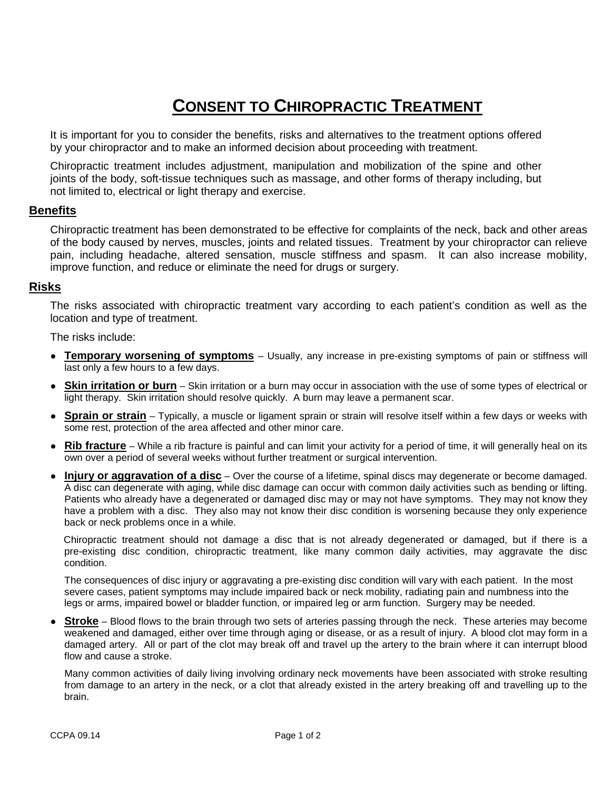# **CONSENT TO CHIROPRACTIC TREATMENT**

It is important for you to consider the benefits, risks and alternatives to the treatment options offered by your chiropractor and to make an informed decision about proceeding with treatment.

Chiropractic treatment includes adjustment, manipulation and mobilization of the spine and other joints of the body, soft-tissue techniques such as massage, and other forms of therapy including, but not limited to, electrical or light therapy and exercise.

## **Benefits**

Chiropractic treatment has been demonstrated to be effective for complaints of the neck, back and other areas of the body caused by nerves, muscles, joints and related tissues. Treatment by your chiropractor can relieve pain, including headache, altered sensation, muscle stiffness and spasm. It can also increase mobility, improve function, and reduce or eliminate the need for drugs or surgery.

### **Risks**

The risks associated with chiropractic treatment vary according to each patient's condition as well as the location and type of treatment.

The risks include:

- **Temporary worsening of symptoms** Usually, any increase in pre-existing symptoms of pain or stiffness will last only a few hours to a few days.
- **Skin irritation or burn** Skin irritation or a burn may occur in association with the use of some types of electrical or light therapy. Skin irritation should resolve quickly. A burn may leave a permanent scar.
- **Sprain or strain** Typically, a muscle or ligament sprain or strain will resolve itself within a few days or weeks with some rest, protection of the area affected and other minor care.
- **Rib fracture** While a rib fracture is painful and can limit your activity for a period of time, it will generally heal on its own over a period of several weeks without further treatment or surgical intervention.
- **Injury or aggravation of a disc** Over the course of a lifetime, spinal discs may degenerate or become damaged. A disc can degenerate with aging, while disc damage can occur with common daily activities such as bending or lifting. Patients who already have a degenerated or damaged disc may or may not have symptoms. They may not know they have a problem with a disc. They also may not know their disc condition is worsening because they only experience back or neck problems once in a while.

Chiropractic treatment should not damage a disc that is not already degenerated or damaged, but if there is a pre-existing disc condition, chiropractic treatment, like many common daily activities, may aggravate the disc condition.

The consequences of disc injury or aggravating a pre-existing disc condition will vary with each patient. In the most severe cases, patient symptoms may include impaired back or neck mobility, radiating pain and numbness into the legs or arms, impaired bowel or bladder function, or impaired leg or arm function. Surgery may be needed.

● **Stroke** – Blood flows to the brain through two sets of arteries passing through the neck. These arteries may become weakened and damaged, either over time through aging or disease, or as a result of injury. A blood clot may form in a damaged artery. All or part of the clot may break off and travel up the artery to the brain where it can interrupt blood flow and cause a stroke.

Many common activities of daily living involving ordinary neck movements have been associated with stroke resulting from damage to an artery in the neck, or a clot that already existed in the artery breaking off and travelling up to the brain.